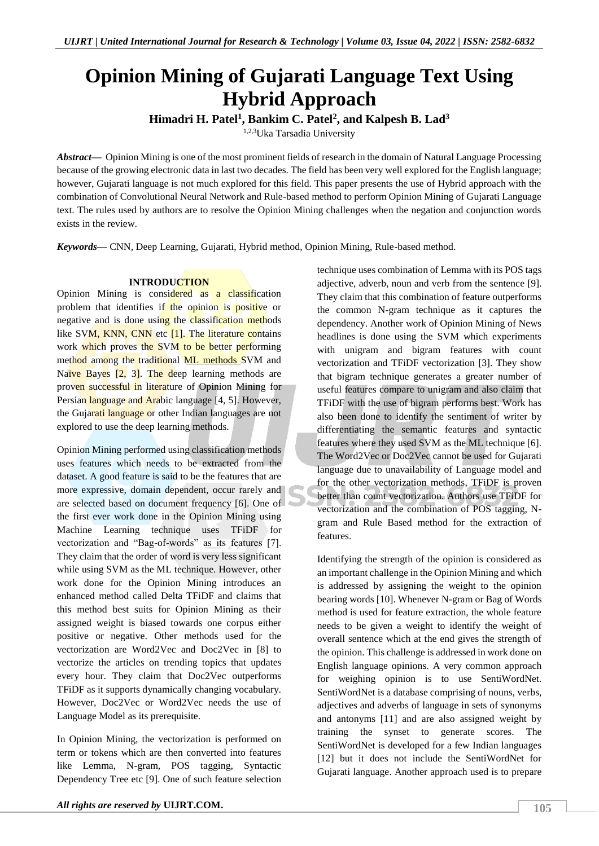# **Opinion Mining of Gujarati Language Text Using Hybrid Approach**

**Himadri H. Patel<sup>1</sup> , Bankim C. Patel<sup>2</sup> , and Kalpesh B. Lad<sup>3</sup>**

1,2,3Uka Tarsadia University

*Abstract—* Opinion Mining is one of the most prominent fields of research in the domain of Natural Language Processing because of the growing electronic data in last two decades. The field has been very well explored for the English language; however, Gujarati language is not much explored for this field. This paper presents the use of Hybrid approach with the combination of Convolutional Neural Network and Rule-based method to perform Opinion Mining of Gujarati Language text. The rules used by authors are to resolve the Opinion Mining challenges when the negation and conjunction words exists in the review.

*Keywords—* CNN, Deep Learning, Gujarati, Hybrid method, Opinion Mining, Rule-based method.

# **INTRODUCTION**

Opinion Mining is considered as a classification problem that identifies if the opinion is positive or negative and is done using the classification methods like SVM, KNN, CNN etc [1]. The literature contains work which proves the SVM to be better performing method among the traditional ML methods SVM and Naïve Bayes  $[2, 3]$ . The deep learning methods are proven successful in literature of Opinion Mining for Persian language and Arabic language [4, 5]. However, the Gujarati language or other Indian languages are not explored to use the deep learning methods.

Opinion Mining performed using classification methods uses features which needs to be extracted from the dataset. A good feature is said to be the features that are more expressive, domain dependent, occur rarely and are selected based on document frequency [6]. One of the first ever work done in the Opinion Mining using Machine Learning technique uses TFiDF for vectorization and "Bag-of-words" as its features [7]. They claim that the order of word is very less significant while using SVM as the ML technique. However, other work done for the Opinion Mining introduces an enhanced method called Delta TFiDF and claims that this method best suits for Opinion Mining as their assigned weight is biased towards one corpus either positive or negative. Other methods used for the vectorization are Word2Vec and Doc2Vec in [8] to vectorize the articles on trending topics that updates every hour. They claim that Doc2Vec outperforms TFiDF as it supports dynamically changing vocabulary. However, Doc2Vec or Word2Vec needs the use of Language Model as its prerequisite.

In Opinion Mining, the vectorization is performed on term or tokens which are then converted into features like Lemma, N-gram, POS tagging, Syntactic Dependency Tree etc [9]. One of such feature selection technique uses combination of Lemma with its POS tags adjective, adverb, noun and verb from the sentence [9]. They claim that this combination of feature outperforms the common N-gram technique as it captures the dependency. Another work of Opinion Mining of News headlines is done using the SVM which experiments with unigram and bigram features with count vectorization and TFiDF vectorization [3]. They show that bigram technique generates a greater number of useful features compare to unigram and also claim that TFiDF with the use of bigram performs best. Work has also been done to identify the sentiment of writer by differentiating the semantic features and syntactic features where they used SVM as the ML technique [6]. The Word2Vec or Doc2Vec cannot be used for Gujarati language due to unavailability of Language model and for the other vectorization methods, TFiDF is proven better than count vectorization. Authors use TFiDF for vectorization and the combination of POS tagging, Ngram and Rule Based method for the extraction of features.

Identifying the strength of the opinion is considered as an important challenge in the Opinion Mining and which is addressed by assigning the weight to the opinion bearing words [10]. Whenever N-gram or Bag of Words method is used for feature extraction, the whole feature needs to be given a weight to identify the weight of overall sentence which at the end gives the strength of the opinion. This challenge is addressed in work done on English language opinions. A very common approach for weighing opinion is to use SentiWordNet. SentiWordNet is a database comprising of nouns, verbs, adjectives and adverbs of language in sets of synonyms and antonyms [11] and are also assigned weight by training the synset to generate scores. The SentiWordNet is developed for a few Indian languages [12] but it does not include the SentiWordNet for Gujarati language. Another approach used is to prepare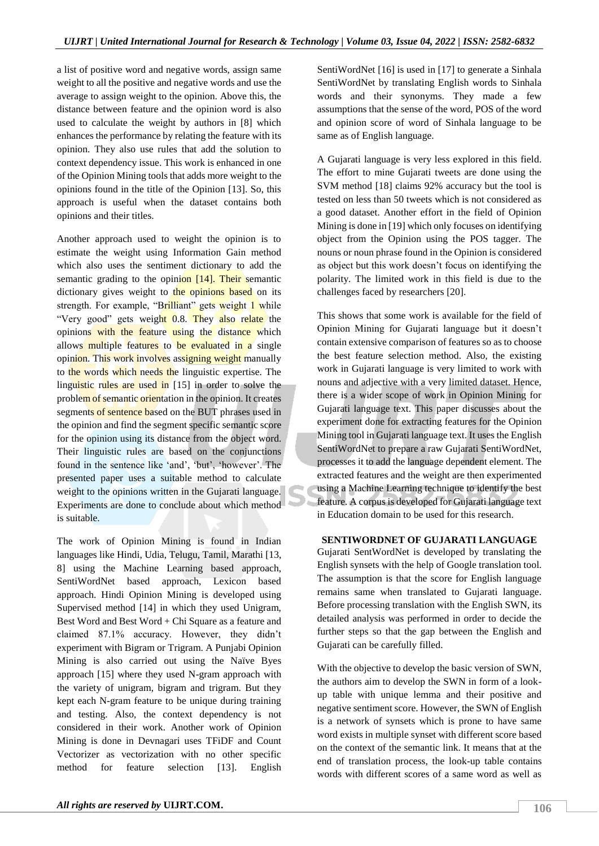a list of positive word and negative words, assign same weight to all the positive and negative words and use the average to assign weight to the opinion. Above this, the distance between feature and the opinion word is also used to calculate the weight by authors in [8] which enhances the performance by relating the feature with its opinion. They also use rules that add the solution to context dependency issue. This work is enhanced in one of the Opinion Mining tools that adds more weight to the opinions found in the title of the Opinion [13]. So, this approach is useful when the dataset contains both opinions and their titles.

Another approach used to weight the opinion is to estimate the weight using Information Gain method which also uses the sentiment dictionary to add the semantic grading to the opinion [14]. Their semantic dictionary gives weight to the opinions based on its strength. For example, "Brilliant" gets weight 1 while "Very good" gets weight 0.8. They also relate the opinions with the feature using the distance which allows multiple features to be evaluated in a single opinion. This work involves assigning weight manually to the words which needs the linguistic expertise. The linguistic rules are used in [15] in order to solve the problem of semantic orientation in the opinion. It creates segments of sentence based on the BUT phrases used in the opinion and find the segment specific semantic score for the opinion using its distance from the object word. Their linguistic rules are based on the conjunctions found in the sentence like 'and', 'but', 'however'. The presented paper uses a suitable method to calculate weight to the opinions written in the Gujarati language. Experiments are done to conclude about which method is suitable.

The work of Opinion Mining is found in Indian languages like Hindi, Udia, Telugu, Tamil, Marathi [13, 8] using the Machine Learning based approach, SentiWordNet based approach, Lexicon based approach. Hindi Opinion Mining is developed using Supervised method [14] in which they used Unigram, Best Word and Best Word + Chi Square as a feature and claimed 87.1% accuracy. However, they didn't experiment with Bigram or Trigram. A Punjabi Opinion Mining is also carried out using the Naïve Byes approach [15] where they used N-gram approach with the variety of unigram, bigram and trigram. But they kept each N-gram feature to be unique during training and testing. Also, the context dependency is not considered in their work. Another work of Opinion Mining is done in Devnagari uses TFiDF and Count Vectorizer as vectorization with no other specific method for feature selection [13]. English

SentiWordNet [16] is used in [17] to generate a Sinhala SentiWordNet by translating English words to Sinhala words and their synonyms. They made a few assumptions that the sense of the word, POS of the word and opinion score of word of Sinhala language to be same as of English language.

A Gujarati language is very less explored in this field. The effort to mine Gujarati tweets are done using the SVM method [18] claims 92% accuracy but the tool is tested on less than 50 tweets which is not considered as a good dataset. Another effort in the field of Opinion Mining is done in [19] which only focuses on identifying object from the Opinion using the POS tagger. The nouns or noun phrase found in the Opinion is considered as object but this work doesn't focus on identifying the polarity. The limited work in this field is due to the challenges faced by researchers [20].

This shows that some work is available for the field of Opinion Mining for Gujarati language but it doesn't contain extensive comparison of features so as to choose the best feature selection method. Also, the existing work in Gujarati language is very limited to work with nouns and adjective with a very limited dataset. Hence, there is a wider scope of work in Opinion Mining for Gujarati language text. This paper discusses about the experiment done for extracting features for the Opinion Mining tool in Gujarati language text. It uses the English SentiWordNet to prepare a raw Gujarati SentiWordNet, processes it to add the language dependent element. The extracted features and the weight are then experimented using a Machine Learning technique to identify the best feature. A corpus is developed for Gujarati language text in Education domain to be used for this research.

## **SENTIWORDNET OF GUJARATI LANGUAGE**

Gujarati SentWordNet is developed by translating the English synsets with the help of Google translation tool. The assumption is that the score for English language remains same when translated to Gujarati language. Before processing translation with the English SWN, its detailed analysis was performed in order to decide the further steps so that the gap between the English and Gujarati can be carefully filled.

With the objective to develop the basic version of SWN. the authors aim to develop the SWN in form of a lookup table with unique lemma and their positive and negative sentiment score. However, the SWN of English is a network of synsets which is prone to have same word exists in multiple synset with different score based on the context of the semantic link. It means that at the end of translation process, the look-up table contains words with different scores of a same word as well as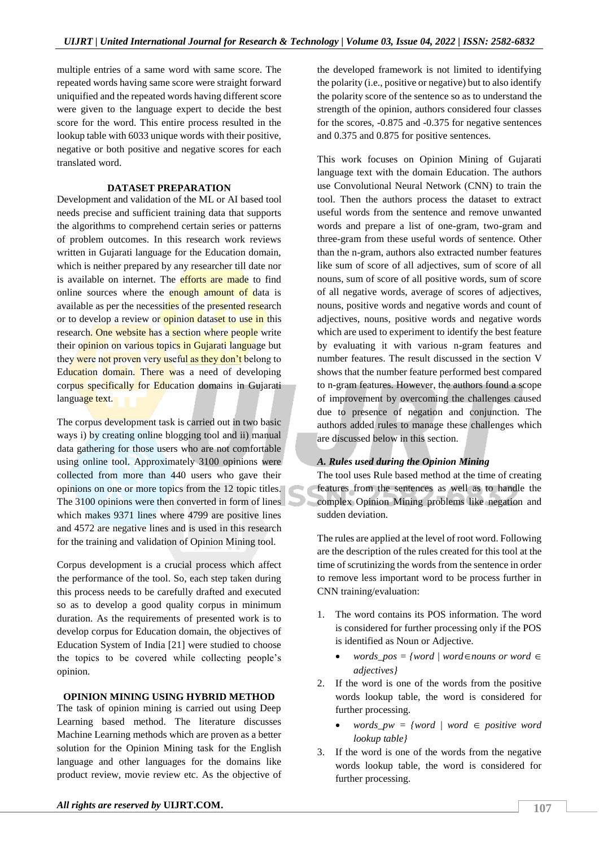multiple entries of a same word with same score. The repeated words having same score were straight forward uniquified and the repeated words having different score were given to the language expert to decide the best score for the word. This entire process resulted in the lookup table with 6033 unique words with their positive, negative or both positive and negative scores for each translated word.

### **DATASET PREPARATION**

Development and validation of the ML or AI based tool needs precise and sufficient training data that supports the algorithms to comprehend certain series or patterns of problem outcomes. In this research work reviews written in Gujarati language for the Education domain, which is neither prepared by any researcher till date nor is available on internet. The efforts are made to find online sources where the enough amount of data is available as per the necessities of the presented research or to develop a review or **opinion dataset to use in this** research. One website has a section where people write their opinion on various topics in Gujarati language but they were not proven very useful as they don't belong to Education domain. There was a need of developing corpus specifically for Education domains in Gujarati language text.

The corpus development task is carried out in two basic ways i) by creating online blogging tool and ii) manual data gathering for those users who are not comfortable using online tool. Approximately 3100 opinions were collected from more than 440 users who gave their opinions on one or more topics from the 12 topic titles. The 3100 opinions were then converted in form of lines which makes 9371 lines where 4799 are positive lines and 4572 are negative lines and is used in this research for the training and validation of Opinion Mining tool.

Corpus development is a crucial process which affect the performance of the tool. So, each step taken during this process needs to be carefully drafted and executed so as to develop a good quality corpus in minimum duration. As the requirements of presented work is to develop corpus for Education domain, the objectives of Education System of India [21] were studied to choose the topics to be covered while collecting people's opinion.

## **OPINION MINING USING HYBRID METHOD**

The task of opinion mining is carried out using Deep Learning based method. The literature discusses Machine Learning methods which are proven as a better solution for the Opinion Mining task for the English language and other languages for the domains like product review, movie review etc. As the objective of the developed framework is not limited to identifying the polarity (i.e., positive or negative) but to also identify the polarity score of the sentence so as to understand the strength of the opinion, authors considered four classes for the scores, -0.875 and -0.375 for negative sentences and 0.375 and 0.875 for positive sentences.

This work focuses on Opinion Mining of Gujarati language text with the domain Education. The authors use Convolutional Neural Network (CNN) to train the tool. Then the authors process the dataset to extract useful words from the sentence and remove unwanted words and prepare a list of one-gram, two-gram and three-gram from these useful words of sentence. Other than the n-gram, authors also extracted number features like sum of score of all adjectives, sum of score of all nouns, sum of score of all positive words, sum of score of all negative words, average of scores of adjectives, nouns, positive words and negative words and count of adjectives, nouns, positive words and negative words which are used to experiment to identify the best feature by evaluating it with various n-gram features and number features. The result discussed in the section V shows that the number feature performed best compared to n-gram features. However, the authors found a scope of improvement by overcoming the challenges caused due to presence of negation and conjunction. The authors added rules to manage these challenges which are discussed below in this section.

## *A. Rules used during the Opinion Mining*

The tool uses Rule based method at the time of creating features from the sentences as well as to handle the complex Opinion Mining problems like negation and sudden deviation.

The rules are applied at the level of root word. Following are the description of the rules created for this tool at the time of scrutinizing the words from the sentence in order to remove less important word to be process further in CNN training/evaluation:

- 1. The word contains its POS information. The word is considered for further processing only if the POS is identified as Noun or Adjective.
	- *words*  $pos =$  {*word* | *word*  $\in$  *nouns or word*  $\in$ *adjectives}*
- 2. If the word is one of the words from the positive words lookup table, the word is considered for further processing.
	- $words\_pw =$   ${word / word \in positive word}$ *lookup table}*
- 3. If the word is one of the words from the negative words lookup table, the word is considered for further processing.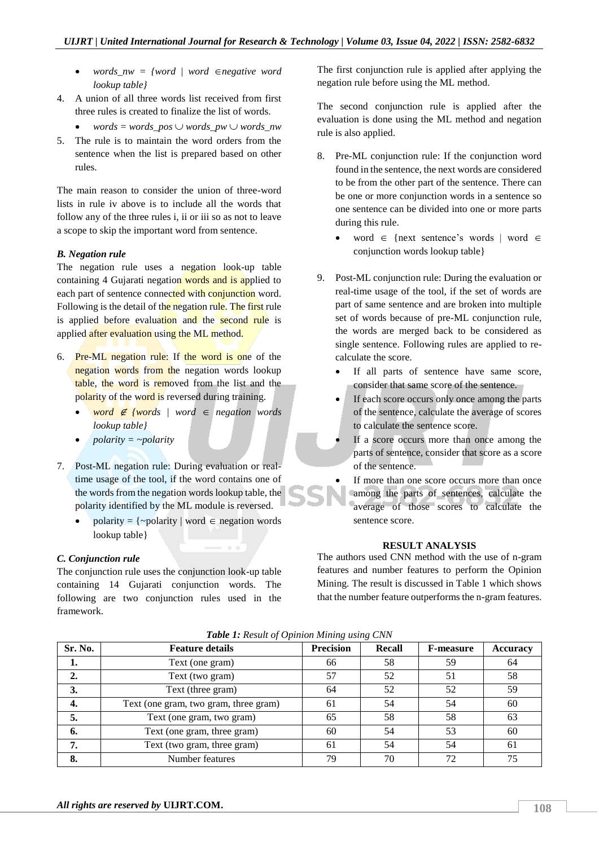- *words*  $nw =$  {*word*  $\neq$  *word*  $\in$  *negative word lookup table}*
- 4. A union of all three words list received from first three rules is created to finalize the list of words.
	- *words* = *words*  $pos \cup words$  *pw*  $\cup words$  *nw*
- 5. The rule is to maintain the word orders from the sentence when the list is prepared based on other rules.

The main reason to consider the union of three-word lists in rule iv above is to include all the words that follow any of the three rules i, ii or iii so as not to leave a scope to skip the important word from sentence.

## *B. Negation rule*

The negation rule uses a negation look-up table containing 4 Gujarati negation words and is applied to each part of sentence connected with conjunction word. Following is the detail of the negation rule. The first rule is applied before evaluation and the second rule is applied after evaluation using the ML method.

- 6. Pre-ML negation rule: If the word is one of the negation words from the negation words lookup table, the word is removed from the list and the polarity of the word is reversed during training.
	- *word* <sup>∉</sup> *{words | word negation words lookup table}*
	- *polarity = ~polarity*
- 7. Post-ML negation rule: During evaluation or realtime usage of the tool, if the word contains one of the words from the negation words lookup table, the polarity identified by the ML module is reversed.
	- polarity =  $\{-\text{polarity} \mid \text{word} \in \text{negation words}\}$ lookup table}

## *C. Conjunction rule*

The conjunction rule uses the conjunction look-up table containing 14 Gujarati conjunction words. The following are two conjunction rules used in the framework.

The first conjunction rule is applied after applying the negation rule before using the ML method.

The second conjunction rule is applied after the evaluation is done using the ML method and negation rule is also applied.

- 8. Pre-ML conjunction rule: If the conjunction word found in the sentence, the next words are considered to be from the other part of the sentence. There can be one or more conjunction words in a sentence so one sentence can be divided into one or more parts during this rule.
	- word  $\in$  {next sentence's words | word  $\in$ conjunction words lookup table}
- 9. Post-ML conjunction rule: During the evaluation or real-time usage of the tool, if the set of words are part of same sentence and are broken into multiple set of words because of pre-ML conjunction rule, the words are merged back to be considered as single sentence. Following rules are applied to recalculate the score.
	- If all parts of sentence have same score, consider that same score of the sentence.
	- If each score occurs only once among the parts of the sentence, calculate the average of scores to calculate the sentence score.
	- If a score occurs more than once among the parts of sentence, consider that score as a score of the sentence.

 If more than one score occurs more than once among the parts of sentences, calculate the average of those scores to calculate the sentence score.

## **RESULT ANALYSIS**

The authors used CNN method with the use of n-gram features and number features to perform the Opinion Mining. The result is discussed in Table 1 which shows that the number feature outperforms the n-gram features.

| Sr. No. | <b>Feature details</b>                | <b>Precision</b> | Recall | <b>F-measure</b> | <b>Accuracy</b> |
|---------|---------------------------------------|------------------|--------|------------------|-----------------|
| ı.      | Text (one gram)                       | 66               | 58     | 59               | 64              |
|         | Text (two gram)                       | 57               | 52     | 51               | 58              |
| 3.      | Text (three gram)                     | 64               | 52     | 52               | 59              |
| 4.      | Text (one gram, two gram, three gram) | 61               | 54     | 54               | 60              |
|         | Text (one gram, two gram)             | 65               | 58     | 58               | 63              |
| 6.      | Text (one gram, three gram)           | 60               | 54     | 53               | 60              |
| 7.      | Text (two gram, three gram)           | 61               | 54     | 54               | 61              |
| 8.      | Number features                       | 79               | 70     | 72               | 75              |

*Table 1: Result of Opinion Mining using CNN*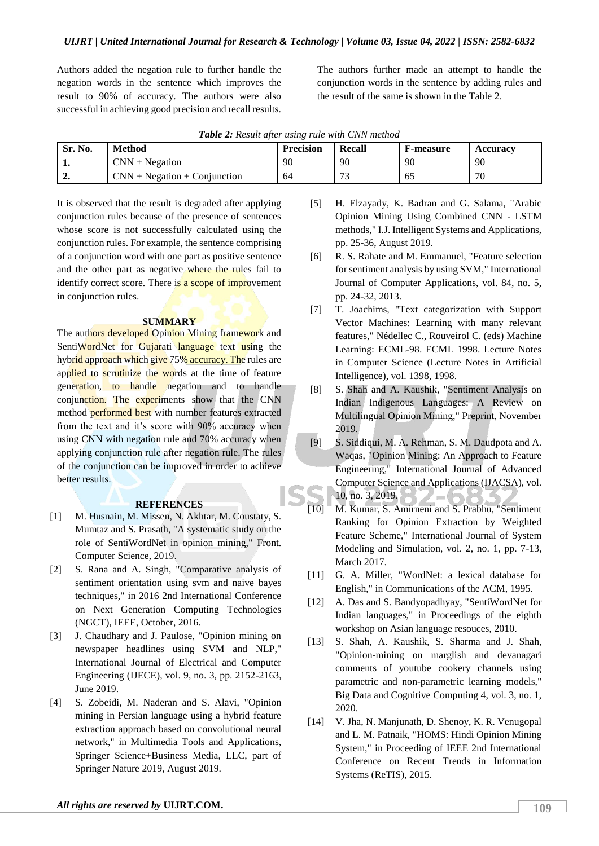Authors added the negation rule to further handle the negation words in the sentence which improves the result to 90% of accuracy. The authors were also successful in achieving good precision and recall results.

The authors further made an attempt to handle the conjunction words in the sentence by adding rules and the result of the same is shown in the Table 2.

| Table 2: Result after using rule with CNN method |  |  |  |  |  |  |  |
|--------------------------------------------------|--|--|--|--|--|--|--|
|--------------------------------------------------|--|--|--|--|--|--|--|

| Sr. No. | <b>Method</b>                  | <b>Precision</b> | Recall                   | <b>F-measure</b> | <b>Accuracy</b> |
|---------|--------------------------------|------------------|--------------------------|------------------|-----------------|
| . .     | $CNN + Ne$ gation              | 90               | 90                       | 90               | 90              |
| ∸.      | $CNN + Negation + Conjunction$ | 64               | $\overline{\phantom{a}}$ | 65               | 70              |

It is observed that the result is degraded after applying conjunction rules because of the presence of sentences whose score is not successfully calculated using the conjunction rules. For example, the sentence comprising of a conjunction word with one part as positive sentence and the other part as negative where the rules fail to identify correct score. There is a scope of improvement in conjunction rules.

### **SUMMARY**

The authors developed Opinion Mining framework and SentiWordNet for Gujarati language text using the hybrid approach which give 75% accuracy. The rules are applied to scrutinize the words at the time of feature generation, to handle negation and to handle conjunction. The experiments show that the CNN method performed best with number features extracted from the text and it's score with 90% accuracy when using CNN with negation rule and 70% accuracy when applying conjunction rule after negation rule. The rules of the conjunction can be improved in order to achieve better results.

### **REFERENCES**

- [1] M. Husnain, M. Missen, N. Akhtar, M. Coustaty, S. Mumtaz and S. Prasath, "A systematic study on the role of SentiWordNet in opinion mining," Front. Computer Science, 2019.
- [2] S. Rana and A. Singh, "Comparative analysis of sentiment orientation using svm and naive bayes techniques," in 2016 2nd International Conference on Next Generation Computing Technologies (NGCT), IEEE, October, 2016.
- [3] J. Chaudhary and J. Paulose, "Opinion mining on newspaper headlines using SVM and NLP," International Journal of Electrical and Computer Engineering (IJECE), vol. 9, no. 3, pp. 2152-2163, June 2019.
- [4] S. Zobeidi, M. Naderan and S. Alavi, "Opinion mining in Persian language using a hybrid feature extraction approach based on convolutional neural network," in Multimedia Tools and Applications, Springer Science+Business Media, LLC, part of Springer Nature 2019, August 2019.
- [5] H. Elzayady, K. Badran and G. Salama, "Arabic Opinion Mining Using Combined CNN - LSTM methods," I.J. Intelligent Systems and Applications, pp. 25-36, August 2019.
- [6] R. S. Rahate and M. Emmanuel, "Feature selection for sentiment analysis by using SVM," International Journal of Computer Applications, vol. 84, no. 5, pp. 24-32, 2013.
- [7] T. Joachims, "Text categorization with Support Vector Machines: Learning with many relevant features," Nédellec C., Rouveirol C. (eds) Machine Learning: ECML-98. ECML 1998. Lecture Notes in Computer Science (Lecture Notes in Artificial Intelligence), vol. 1398, 1998.
- [8] S. Shah and A. Kaushik, "Sentiment Analysis on Indian Indigenous Languages: A Review on Multilingual Opinion Mining," Preprint, November 2019.
- [9] S. Siddiqui, M. A. Rehman, S. M. Daudpota and A. Waqas, "Opinion Mining: An Approach to Feature Engineering," International Journal of Advanced Computer Science and Applications (IJACSA), vol. 10, no. 3, 2019.  $\bar{z}$   $=$  (
- [10] M. Kumar, S. Amirneni and S. Prabhu, "Sentiment Ranking for Opinion Extraction by Weighted Feature Scheme," International Journal of System Modeling and Simulation, vol. 2, no. 1, pp. 7-13, March 2017.
- [11] G. A. Miller, "WordNet: a lexical database for English," in Communications of the ACM, 1995.
- [12] A. Das and S. Bandyopadhyay, "SentiWordNet for Indian languages," in Proceedings of the eighth workshop on Asian language resouces, 2010.
- [13] S. Shah, A. Kaushik, S. Sharma and J. Shah, "Opinion-mining on marglish and devanagari comments of youtube cookery channels using parametric and non-parametric learning models," Big Data and Cognitive Computing 4, vol. 3, no. 1, 2020.
- [14] V. Jha, N. Manjunath, D. Shenoy, K. R. Venugopal and L. M. Patnaik, "HOMS: Hindi Opinion Mining System," in Proceeding of IEEE 2nd International Conference on Recent Trends in Information Systems (ReTIS), 2015.